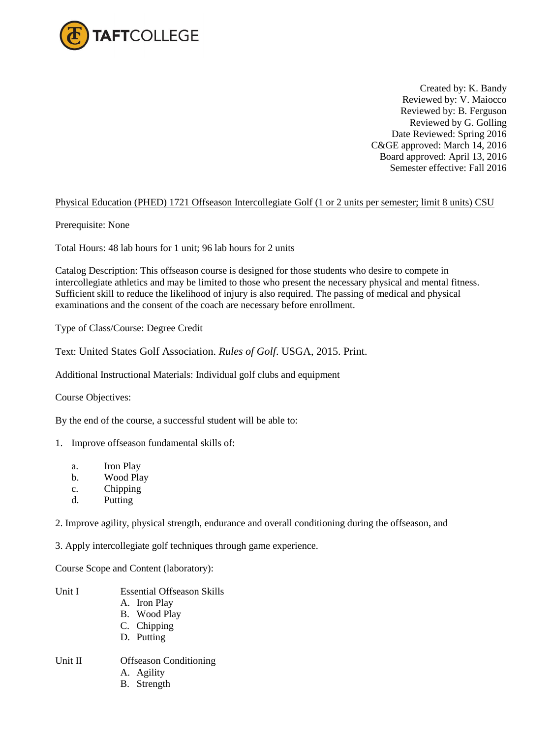

Created by: K. Bandy Reviewed by: V. Maiocco Reviewed by: B. Ferguson Reviewed by G. Golling Date Reviewed: Spring 2016 C&GE approved: March 14, 2016 Board approved: April 13, 2016 Semester effective: Fall 2016

## Physical Education (PHED) 1721 Offseason Intercollegiate Golf (1 or 2 units per semester; limit 8 units) CSU

Prerequisite: None

Total Hours: 48 lab hours for 1 unit; 96 lab hours for 2 units

Catalog Description: This offseason course is designed for those students who desire to compete in intercollegiate athletics and may be limited to those who present the necessary physical and mental fitness. Sufficient skill to reduce the likelihood of injury is also required. The passing of medical and physical examinations and the consent of the coach are necessary before enrollment.

Type of Class/Course: Degree Credit

Text: United States Golf Association. *Rules of Golf*. USGA, 2015. Print.

Additional Instructional Materials: Individual golf clubs and equipment

Course Objectives:

By the end of the course, a successful student will be able to:

- 1. Improve offseason fundamental skills of:
	- a. Iron Play
	- b. Wood Play
	- c. Chipping
	- d. Putting

2. Improve agility, physical strength, endurance and overall conditioning during the offseason, and

3. Apply intercollegiate golf techniques through game experience.

Course Scope and Content (laboratory):

- Unit I Essential Offseason Skills A. Iron Play B. Wood Play C. Chipping D. Putting Unit II Offseason Conditioning A. Agility
	- B. Strength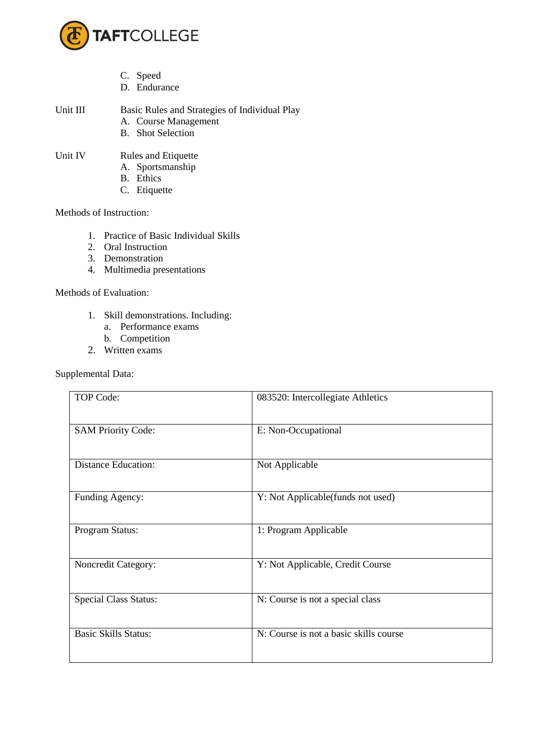

- C. Speed
- D. Endurance
- Unit III Basic Rules and Strategies of Individual Play A. Course Management
	- B. Shot Selection
- Unit IV Rules and Etiquette
	- A. Sportsmanship
	- B. Ethics
	- C. Etiquette

## Methods of Instruction:

- 1. Practice of Basic Individual Skills
- 2. Oral Instruction
- 3. Demonstration
- 4. Multimedia presentations

## Methods of Evaluation:

- 1. Skill demonstrations. Including:
	- a. Performance exams
	- b. Competition
- 2. Written exams

## Supplemental Data:

| <b>TOP Code:</b>             | 083520: Intercollegiate Athletics      |
|------------------------------|----------------------------------------|
| <b>SAM Priority Code:</b>    | E: Non-Occupational                    |
| <b>Distance Education:</b>   | Not Applicable                         |
| Funding Agency:              | Y: Not Applicable(funds not used)      |
| Program Status:              | 1: Program Applicable                  |
| Noncredit Category:          | Y: Not Applicable, Credit Course       |
| <b>Special Class Status:</b> | N: Course is not a special class       |
| <b>Basic Skills Status:</b>  | N: Course is not a basic skills course |